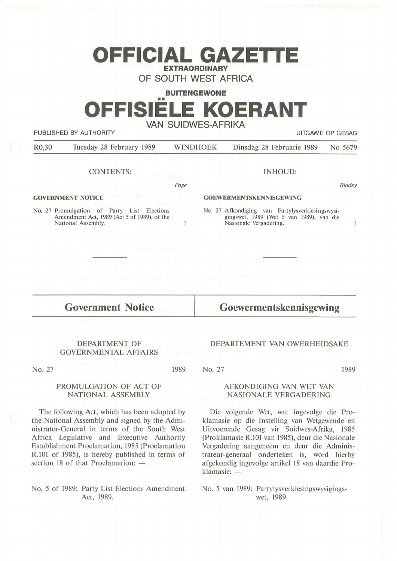## **OFFICIAL GAZETTE EXTRAORDINARY**

**OF SOUTH WEST AFRICA** 

**BUITENGEWONE** 

# •• **OFFISIELE KOERANT VAN SUIDWES-AFRIKA**

PUBLISHED BY AUTHORITY **EXECUTE A SECURE 2018 THE SECURE 2019 THE SECURE 2019 THE SECURE 2019 THE SECURE 2019** 

National Assembly.

 $\mathbf{1}$ 

| R <sub>0</sub> ,30       | Tuesday 28 February 1989                                                                            | <b>WINDHOEK</b> | Dinsdag 28 Februarie 1989                                                                   | No 5679 |
|--------------------------|-----------------------------------------------------------------------------------------------------|-----------------|---------------------------------------------------------------------------------------------|---------|
|                          | <b>CONTENTS:</b>                                                                                    |                 | INHOUD:                                                                                     |         |
|                          |                                                                                                     | Page            |                                                                                             | Bladsy  |
| <b>GOVERNMENT NOTICE</b> |                                                                                                     |                 | <b>GOEWERMENTSKENNISGEWING</b>                                                              |         |
|                          | No. 27 Promulgation<br>of Party<br>Elections<br>List<br>Amendment Act, 1989 (Act 5 of 1989), of the |                 | No. 27 Afkondiging van Partylysverkiesingswysi-<br>gingswet, 1989 (Wet 5 van 1989), van die |         |

 $\mathbf{1}$ 

**Government Notice** 

#### DEPARTMENT OF GOVERNMENTAL AFFAIRS

No. 27

1989

### **Goewermentskennisgewing**

Nasionale Vergadering.

#### No. 27 1989

DEPARTEMENT VAN OWERHEIDSAKE

#### PROMULGATION OF ACT OF NATIONAL ASSEMBLY

The following Act, which has been adopted by the National Assembly and signed by the Administrator-General in terms of the South West Africa Legislative and Executive Authority Establishment Proclamation, 1985 (Proclamation R.101 of 1985), is hereby published in terms of section 18 of that Proclamation: -

#### No. 5 of 1989: Party List Elections Amendment Act, 1989.

#### AFKONDIGING VAN WET VAN NASIONALE VERGADERING

Die volgende Wet, wat ingevolge die Proklamasie op die Instelling van Wetgewende en Uitvoerende Gesag vir Suidwes-Afrika, 1985 (Proklamasie R.101 van 1985), deur die Nasionale Vergadering aangeneem en deur die Administrateur-generaal onderteken is, word hierby afgekondig ingevolge artikel 18 van daardie Proklamasie: -

No. 5 van 1989: Partylysverkiesingswysigingswet, 1989.